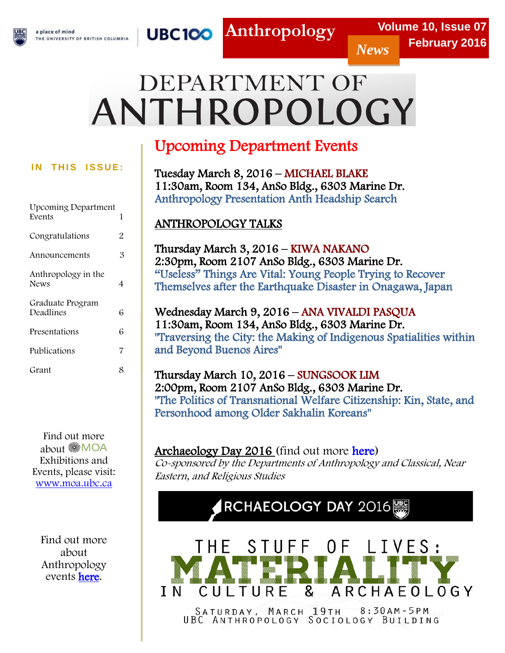

**Anthropology**

# DEPARTMENT OF ANTHROPOLOGY

## **IN THIS ISSUE:**

| 1 |
|---|
| 2 |
| 3 |
| 4 |
| 6 |
| 6 |
| 7 |
| 8 |
|   |

Find out more about MOA Exhibitions and Events, please visit: [www.moa.ubc.ca](http://www.moa.ubc.ca/) 

 Anthropology Find out more about events **here**.

# Upcoming Department Events

Tuesday March 8, 2016 – MICHAEL BLAKE 11:30am, Room 134, AnSo Bldg., 6303 Marine Dr. Anthropology Presentation Anth Headship Search

## ANTHROPOLOGY TALKS

Thursday March 3, 2016 – KIWA NAKANO 2:30pm, Room 2107 AnSo Bldg., 6303 Marine Dr. "Useless" Things Are Vital: Young People Trying to Recover Themselves after the Earthquake Disaster in Onagawa, Japan

Wednesday March 9, 2016 – ANA VIVALDI PASQUA 11:30am, Room 134, AnSo Bldg., 6303 Marine Dr. "Traversing the City: the Making of Indigenous Spatialities within and Beyond Buenos Aires"

Thursday March 10, 2016 – SUNGSOOK LIM 2:00pm, Room 2107 AnSo Bldg., 6303 Marine Dr. "The Politics of Transnational Welfare Citizenship: Kin, State, and Personhood among Older Sakhalin Koreans"

## Archaeology Day 2016 (find out more [here\)](http://anth.sites.olt.ubc.ca/files/2016/03/archaeology-day-poster-list.pdf)

Co-sponsored by the Departments of Anthropology and Classical, Near Eastern, and Religious Studies

# $RCHAEOLOGY$  DAY  $2016$



SATURDAY, MARCH 19TH 8:30AM-5PM<br>UBC ANTHROPOLOGY SOCIOLOGY BUILDING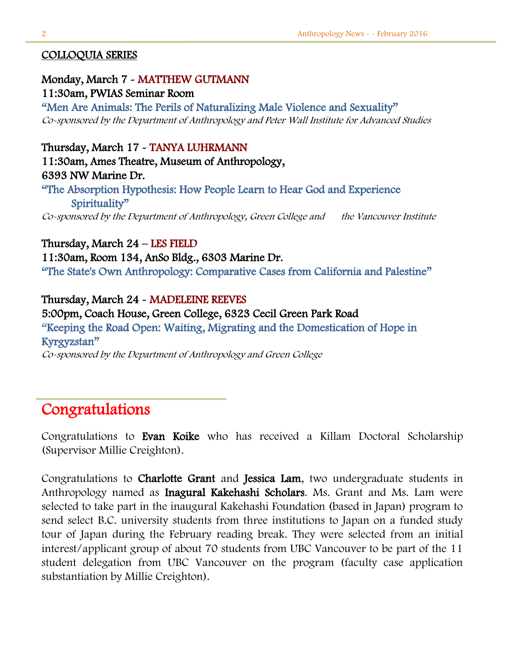#### COLLOQUIA SERIES

Monday, March 7 - MATTHEW GUTMANN 11:30am, PWIAS Seminar Room "Men Are Animals: The Perils of Naturalizing Male Violence and Sexuality" Co-sponsored by the Department of Anthropology and Peter Wall Institute for Advanced Studies

Thursday, March 17 - TANYA LUHRMANN 11:30am, Ames Theatre, Museum of Anthropology, 6393 NW Marine Dr. "The Absorption Hypothesis: How People Learn to Hear God and Experience Spirituality"

Co-sponsored by the Department of Anthropology, Green College and the Vancouver Institute

Thursday, March 24 – LES FIELD 11:30am, Room 134, AnSo Bldg., 6303 Marine Dr. "The State's Own Anthropology: Comparative Cases from California and Palestine"

Thursday, March 24 - MADELEINE REEVES 5:00pm, Coach House, Green College, 6323 Cecil Green Park Road "Keeping the Road Open: Waiting, Migrating and the Domestication of Hope in Kyrgyzstan" Co-sponsored by the Department of Anthropology and Green College

# Congratulations

Congratulations to Evan Koike who has received a Killam Doctoral Scholarship (Supervisor Millie Creighton).

Congratulations to Charlotte Grant and Jessica Lam, two undergraduate students in Anthropology named as Inagural Kakehashi Scholars. Ms. Grant and Ms. Lam were selected to take part in the inaugural Kakehashi Foundation (based in Japan) program to send select B.C. university students from three institutions to Japan on a funded study tour of Japan during the February reading break. They were selected from an initial interest/applicant group of about 70 students from UBC Vancouver to be part of the 11 student delegation from UBC Vancouver on the program (faculty case application substantiation by Millie Creighton).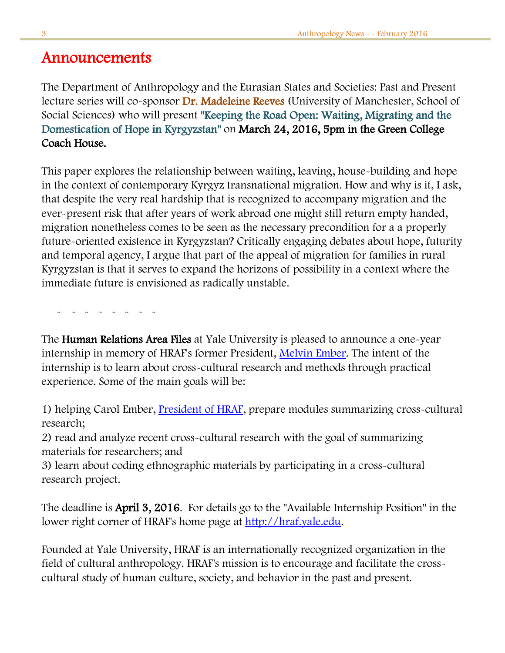# Announcements

The Department of Anthropology and the Eurasian States and Societies: Past and Present lecture series will co-sponsor Dr. Madeleine Reeves (University of Manchester, School of Social Sciences) who will present "Keeping the Road Open: Waiting, Migrating and the Domestication of Hope in Kyrgyzstan" on March 24, 2016, 5pm in the Green College Coach House.

This paper explores the relationship between waiting, leaving, house-building and hope in the context of contemporary Kyrgyz transnational migration. How and why is it, I ask, that despite the very real hardship that is recognized to accompany migration and the ever-present risk that after years of work abroad one might still return empty handed, migration nonetheless comes to be seen as the necessary precondition for a a properly future-oriented existence in Kyrgyzstan? Critically engaging debates about hope, futurity and temporal agency, I argue that part of the appeal of migration for families in rural Kyrgyzstan is that it serves to expand the horizons of possibility in a context where the immediate future is envisioned as radically unstable.

- - - - - - - - -

The Human Relations Area Files at Yale University is pleased to announce a one-year internship in memory of HRAF's former President, [Melvin Ember.](http://r20.rs6.net/tn.jsp?f=001hncdNGnvGdwrkjxPPAxqbnFv2NSoePTvzjqjfbIUyisYvWWNWlWP4lwbpwrAEmsc3CNB_owiZ9qjAKDEX9cuFfGwhfwo44LeCeUErbhhGG8NNLomIMOzhzj1RKbuf0trU881oU70exN8ouI_lQFcbhwGahHS3nAvDuQRKnh9c0OHUfD8Ho0I79S50f3YpjGb-5hUOKBymaTWE6KlbCdcWB6AOyIdqg-kwnUh09vkDWxJPE37FpeH-ZJQC5sgRhsn7L0cX2eDkhquC217WySQi7NzcZ_OO5zay2NVXkRZYcleyKJKO0YnySrp8k44laTo1I-Nwf33TBzIuQ3SSzIosQ==&c=220ykSIFTK64J4sIKZJbIJxipNulioqhCQ2XaDM8aZPjwda6vhqpRQ==&ch=i1V26ersCT5HZuxCvVO5n4UbNhQYi2xxcDA2VU6ItJL3BhJw7z9V4A==) The intent of the internship is to learn about cross-cultural research and methods through practical experience. Some of the main goals will be:

1) helping Carol Ember, **President of HRAF**, prepare modules summarizing cross-cultural research;

2) read and analyze recent cross-cultural research with the goal of summarizing materials for researchers; and

3) learn about coding ethnographic materials by participating in a cross-cultural research project.

The deadline is April 3, 2016. For details go to the "Available Internship Position" in the lower right corner of HRAF's home page at [http://hraf.yale.edu.](http://r20.rs6.net/tn.jsp?f=001hncdNGnvGdwrkjxPPAxqbnFv2NSoePTvzjqjfbIUyisYvWWNWlWP4lwbpwrAEmscqqPt28kbofOIRZ9aM5zVuDm1cebvicVdV6FyWbP9XOuVWc7wk4IyB2kJVtn0fD_pFjMvUfwg3Iiiv_vKPP_VJFDRT_VOV56_W8KEldwbjn50lUHPg3oVCkI3IuD3l_05yDyIwr1rqHonWNDUkT0iN98u2eZePg72FPa5UnjyDFlM6EYKVenBXzEIKDtBRoIfNUantZYo8nxbpz-tbAp_QdKTt_JgkItxsdHqRVYWRmA=&c=220ykSIFTK64J4sIKZJbIJxipNulioqhCQ2XaDM8aZPjwda6vhqpRQ==&ch=i1V26ersCT5HZuxCvVO5n4UbNhQYi2xxcDA2VU6ItJL3BhJw7z9V4A==)

Founded at Yale University, HRAF is an internationally recognized organization in the field of cultural anthropology. HRAF's mission is to encourage and facilitate the crosscultural study of human culture, society, and behavior in the past and present.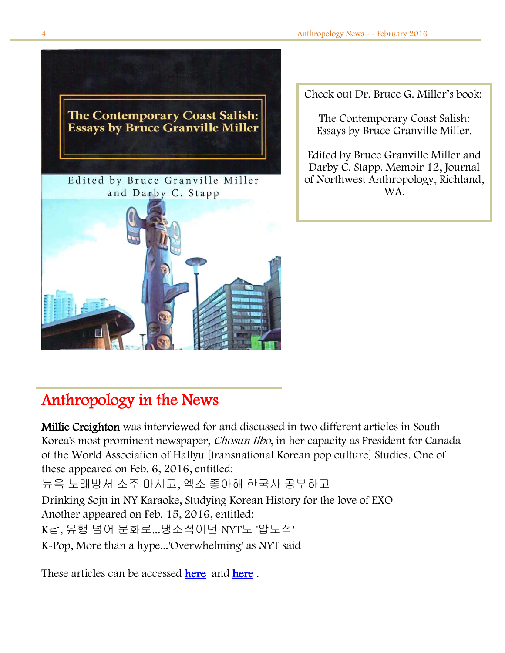

Check out Dr. Bruce G. Miller's book:

The Contemporary Coast Salish: Essays by Bruce Granville Miller.

Edited by Bruce Granville Miller and Darby C. Stapp. Memoir 12, Journal of Northwest Anthropology, Richland, WA.

# L Anthropology in the News

Millie Creighton was interviewed for and discussed in two different articles in South Korea's most prominent newspaper, Chosun Ilbo, in her capacity as President for Canada of the World Association of Hallyu [transnational Korean pop culture] Studies. One of these appeared on Feb. 6, 2016, entitled: 뉴욕 노래방서 소주 마시고, 엑소 좋아해 한국사 공부하고 Drinking Soju in NY Karaoke, Studying Korean History for the love of EXO Another appeared on Feb. 15, 2016, entitled: K팝, 유행 넘어 문화로...냉소적이던 NYT도 '압도적'

K-Pop, More than a hype...'Overwhelming' as NYT said

These articles can be accessed [here](http://news.chosun.com/site/data/html_dir/2016/02/06/2016020600243.html) and [here](http://news.chosun.com/site/data/html_dir/2016/02/15/2016021500293.html).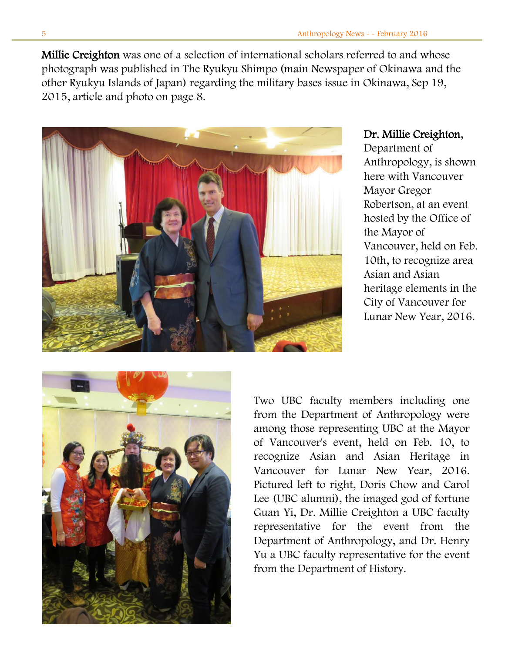Millie Creighton was one of a selection of international scholars referred to and whose photograph was published in The Ryukyu Shimpo (main Newspaper of Okinawa and the other Ryukyu Islands of Japan) regarding the military bases issue in Okinawa, Sep 19, 2015, article and photo on page 8.



## Dr. Millie Creighton,

Department of Anthropology, is shown here with Vancouver Mayor Gregor Robertson, at an event hosted by the Office of the Mayor of Vancouver, held on Feb. 10th, to recognize area Asian and Asian heritage elements in the City of Vancouver for Lunar New Year, 2016.



Two UBC faculty members including one from the Department of Anthropology were among those representing UBC at the Mayor of Vancouver's event, held on Feb. 10, to recognize Asian and Asian Heritage in Vancouver for Lunar New Year, 2016. Pictured left to right, Doris Chow and Carol Lee (UBC alumni), the imaged god of fortune Guan Yi, Dr. Millie Creighton a UBC faculty representative for the event from the Department of Anthropology, and Dr. Henry Yu a UBC faculty representative for the event from the Department of History.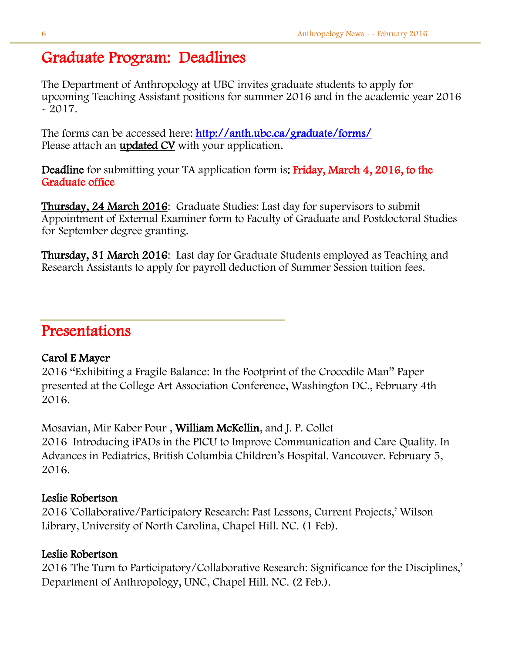# Graduate Program: Deadlines

The Department of Anthropology at UBC invites graduate students to apply for upcoming Teaching Assistant positions for summer 2016 and in the academic year 2016  $-2017.$ 

The forms can be accessed here:<http://anth.ubc.ca/graduate/forms/> Please attach an **updated CV** with your application.

Deadline for submitting your TA application form is: Friday, March 4, 2016, to the Graduate office

Thursday, 24 March 2016: Graduate Studies: Last day for supervisors to submit Appointment of External Examiner form to Faculty of Graduate and Postdoctoral Studies for September degree granting.

Thursday, 31 March 2016: Last day for Graduate Students employed as Teaching and Research Assistants to apply for payroll deduction of Summer Session tuition fees.

# Presentations

## Carol E Mayer

2016 "Exhibiting a Fragile Balance: In the Footprint of the Crocodile Man" Paper presented at the College Art Association Conference, Washington DC., February 4th 2016.

Mosavian, Mir Kaber Pour , William McKellin, and J. P. Collet 2016 Introducing iPADs in the PICU to Improve Communication and Care Quality. In Advances in Pediatrics, British Columbia Children's Hospital. Vancouver. February 5, 2016.

## Leslie Robertson

2016 'Collaborative/Participatory Research: Past Lessons, Current Projects,' Wilson Library, University of North Carolina, Chapel Hill. NC. (1 Feb).

# Leslie Robertson

2016 'The Turn to Participatory/Collaborative Research: Significance for the Disciplines,' Department of Anthropology, UNC, Chapel Hill. NC. (2 Feb.).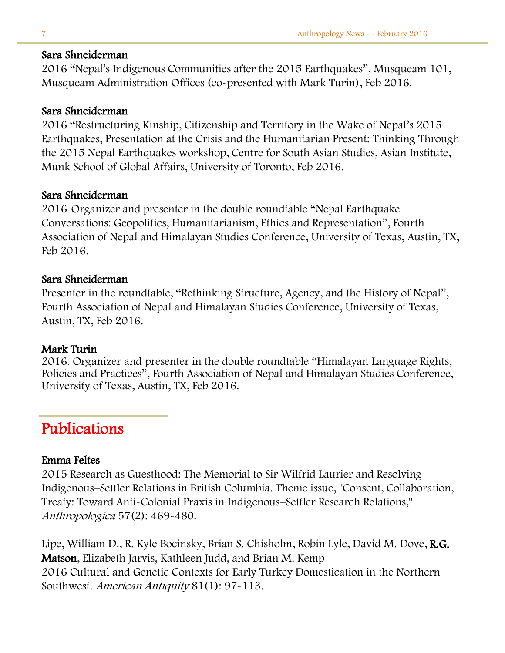#### Sara Shneiderman

2016 "Nepal's Indigenous Communities after the 2015 Earthquakes", Musqueam 101, Musqueam Administration Offices (co-presented with Mark Turin), Feb 2016.

#### Sara Shneiderman

2016 "Restructuring Kinship, Citizenship and Territory in the Wake of Nepal's 2015 Earthquakes, Presentation at the Crisis and the Humanitarian Present: Thinking Through the 2015 Nepal Earthquakes workshop, Centre for South Asian Studies, Asian Institute, Munk School of Global Affairs, University of Toronto, Feb 2016.

## Sara Shneiderman

2016 Organizer and presenter in the double roundtable "Nepal Earthquake Conversations: Geopolitics, Humanitarianism, Ethics and Representation", Fourth Association of Nepal and Himalayan Studies Conference, University of Texas, Austin, TX, Feb 2016.

## Sara Shneiderman

Presenter in the roundtable, "Rethinking Structure, Agency, and the History of Nepal", Fourth Association of Nepal and Himalayan Studies Conference, University of Texas, Austin, TX, Feb 2016.

## Mark Turin

2016. Organizer and presenter in the double roundtable "Himalayan Language Rights, Policies and Practices", Fourth Association of Nepal and Himalayan Studies Conference, University of Texas, Austin, TX, Feb 2016.

# Publications

## Emma Feltes

2015 Research as Guesthood: The Memorial to Sir Wilfrid Laurier and Resolving Indigenous–Settler Relations in British Columbia. Theme issue, "Consent, Collaboration, Treaty: Toward Anti-Colonial Praxis in Indigenous–Settler Research Relations," Anthropologica 57(2): 469-480.

Lipe, William D., R. Kyle Bocinsky, Brian S. Chisholm, Robin Lyle, David M. Dove, R.G. Matson, Elizabeth Jarvis, Kathleen Judd, and Brian M. Kemp 2016 Cultural and Genetic Contexts for Early Turkey Domestication in the Northern Southwest. American Antiquity 81(1): 97-113.